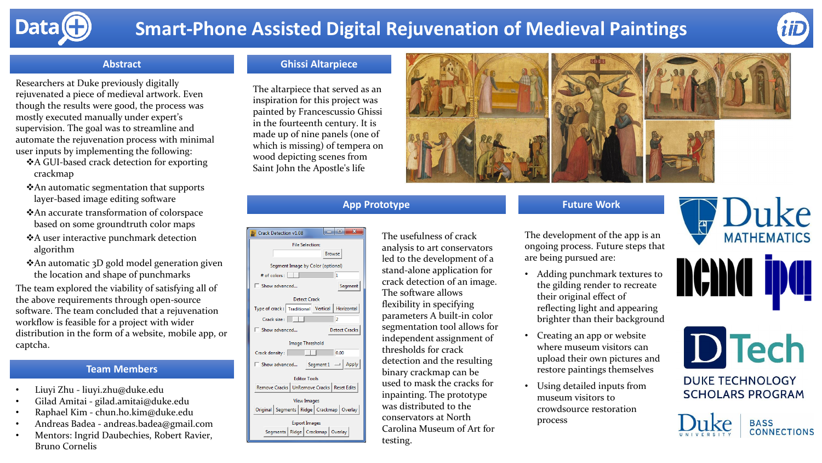

# **Smart-Phone Assisted Digital Rejuvenation of Medieval Paintings**

**App Prototype**



#### **Abstract**

Researchers at Duke previously digitally rejuvenated a piece of medieval artwork. Even though the results were good, the process was mostly executed manually under expert's supervision. The goal was to streamline and automate the rejuvenation process with minimal user inputs by implementing the following:

- ❖A GUI-based crack detection for exporting crackmap
- ❖An automatic segmentation that supports layer-based image editing software
- ❖An accurate transformation of colorspace based on some groundtruth color maps
- ❖A user interactive punchmark detection algorithm
- ❖An automatic 3D gold model generation given the location and shape of punchmarks

The team explored the viability of satisfying all of the above requirements through open-source software. The team concluded that a rejuvenation workflow is feasible for a project with wider distribution in the form of a website, mobile app, or captcha.

#### **Team Members**

- Liuyi Zhu liuyi.zhu@duke.edu
- Gilad Amitai gilad.amitai@duke.edu
- Raphael Kim chun.ho.kim@duke.edu
- Andreas Badea andreas.badea@gmail.com
- Mentors: Ingrid Daubechies, Robert Ravier, Bruno Cornelis

### **Ghissi Altarpiece**

The altarpiece that served as an inspiration for this project was painted by Francescussio Ghissi in the fourteenth century. It is made up of nine panels (one of which is missing) of tempera on wood depicting scenes from Saint John the Apostle's life



The usefulness of crack analysis to art conservators led to the development of a stand-alone application for crack detection of an image. The software allows flexibility in specifying parameters A built-in color segmentation tool allows for independent assignment of thresholds for crack detection and the resulting binary crackmap can be used to mask the cracks for inpainting. The prototype was distributed to the conservators at North Carolina Museum of Art for testing.

The development of the app is an ongoing process. Future steps that are being pursued are:

**Future Work**

- Adding punchmark textures to the gilding render to recreate their original effect of reflecting light and appearing brighter than their background
- Creating an app or website where museum visitors can upload their own pictures and restore paintings themselves
- Using detailed inputs from museum visitors to crowdsource restoration process







**DUKE TECHNOLOGY SCHOLARS PROGRAM**